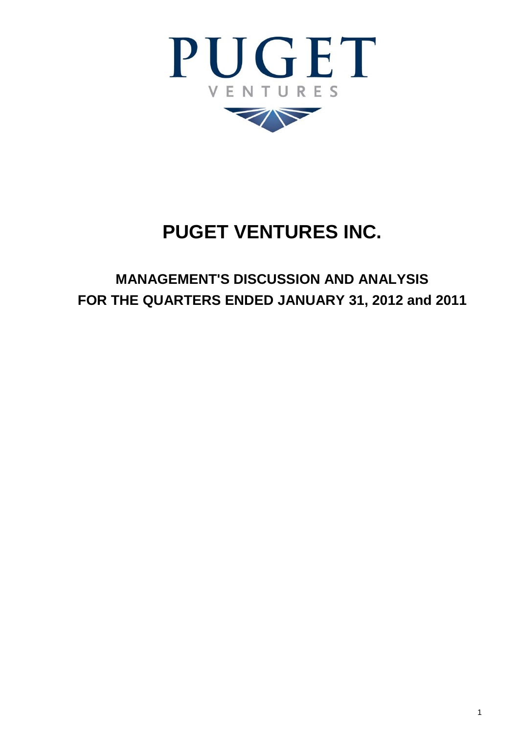

# **PUGET VENTURES INC.**

# **MANAGEMENT'S DISCUSSION AND ANALYSIS FOR THE QUARTERS ENDED JANUARY 31, 2012 and 2011**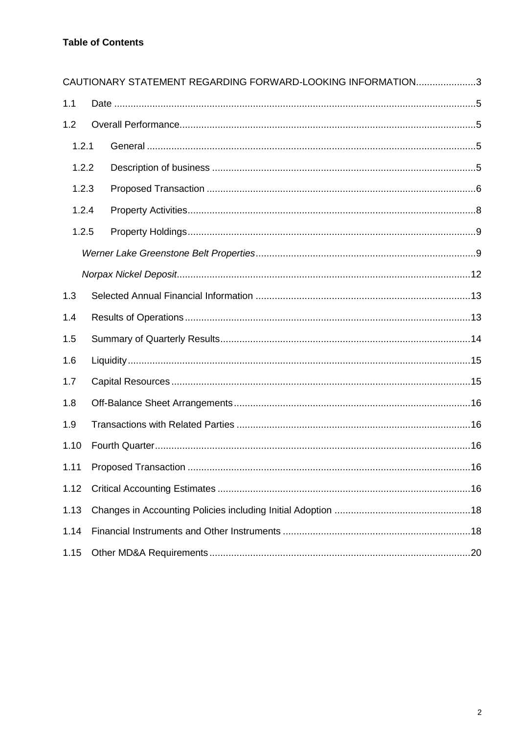|       | CAUTIONARY STATEMENT REGARDING FORWARD-LOOKING INFORMATION3 |  |
|-------|-------------------------------------------------------------|--|
| 1.1   |                                                             |  |
| 1.2   |                                                             |  |
| 1.2.1 |                                                             |  |
| 1.2.2 |                                                             |  |
| 1.2.3 |                                                             |  |
| 1.2.4 |                                                             |  |
| 1.2.5 |                                                             |  |
|       |                                                             |  |
|       |                                                             |  |
| 1.3   |                                                             |  |
| 1.4   |                                                             |  |
| 1.5   |                                                             |  |
| 1.6   |                                                             |  |
| 1.7   |                                                             |  |
| 1.8   |                                                             |  |
| 1.9   |                                                             |  |
| 1.10  |                                                             |  |
|       |                                                             |  |
| 1.12  |                                                             |  |
| 1.13  |                                                             |  |
| 1.14  |                                                             |  |
| 1.15  |                                                             |  |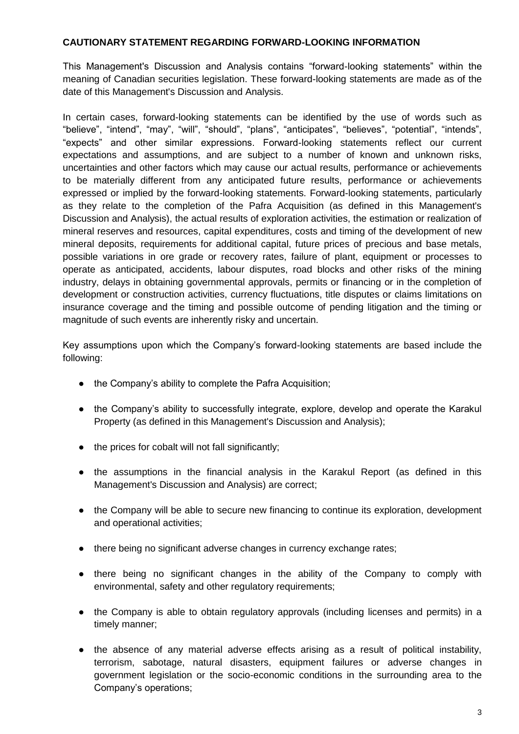# <span id="page-2-0"></span>**CAUTIONARY STATEMENT REGARDING FORWARD-LOOKING INFORMATION**

This Management's Discussion and Analysis contains "forward-looking statements" within the meaning of Canadian securities legislation. These forward-looking statements are made as of the date of this Management's Discussion and Analysis.

In certain cases, forward-looking statements can be identified by the use of words such as "believe", "intend", "may", "will", "should", "plans", "anticipates", "believes", "potential", "intends", "expects" and other similar expressions. Forward-looking statements reflect our current expectations and assumptions, and are subject to a number of known and unknown risks, uncertainties and other factors which may cause our actual results, performance or achievements to be materially different from any anticipated future results, performance or achievements expressed or implied by the forward-looking statements. Forward-looking statements, particularly as they relate to the completion of the Pafra Acquisition (as defined in this Management's Discussion and Analysis), the actual results of exploration activities, the estimation or realization of mineral reserves and resources, capital expenditures, costs and timing of the development of new mineral deposits, requirements for additional capital, future prices of precious and base metals, possible variations in ore grade or recovery rates, failure of plant, equipment or processes to operate as anticipated, accidents, labour disputes, road blocks and other risks of the mining industry, delays in obtaining governmental approvals, permits or financing or in the completion of development or construction activities, currency fluctuations, title disputes or claims limitations on insurance coverage and the timing and possible outcome of pending litigation and the timing or magnitude of such events are inherently risky and uncertain.

Key assumptions upon which the Company's forward-looking statements are based include the following:

- the Company's ability to complete the Pafra Acquisition;
- the Company's ability to successfully integrate, explore, develop and operate the Karakul Property (as defined in this Management's Discussion and Analysis);
- the prices for cobalt will not fall significantly;
- the assumptions in the financial analysis in the Karakul Report (as defined in this Management's Discussion and Analysis) are correct;
- the Company will be able to secure new financing to continue its exploration, development and operational activities;
- there being no significant adverse changes in currency exchange rates;
- there being no significant changes in the ability of the Company to comply with environmental, safety and other regulatory requirements;
- the Company is able to obtain regulatory approvals (including licenses and permits) in a timely manner;
- the absence of any material adverse effects arising as a result of political instability, terrorism, sabotage, natural disasters, equipment failures or adverse changes in government legislation or the socio-economic conditions in the surrounding area to the Company's operations;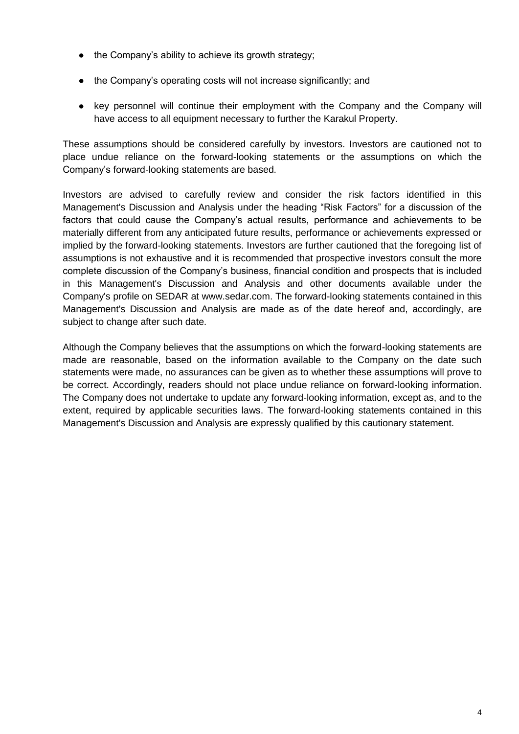- the Company's ability to achieve its growth strategy;
- the Company's operating costs will not increase significantly; and
- key personnel will continue their employment with the Company and the Company will have access to all equipment necessary to further the Karakul Property.

These assumptions should be considered carefully by investors. Investors are cautioned not to place undue reliance on the forward-looking statements or the assumptions on which the Company's forward-looking statements are based.

Investors are advised to carefully review and consider the risk factors identified in this Management's Discussion and Analysis under the heading "Risk Factors" for a discussion of the factors that could cause the Company's actual results, performance and achievements to be materially different from any anticipated future results, performance or achievements expressed or implied by the forward-looking statements. Investors are further cautioned that the foregoing list of assumptions is not exhaustive and it is recommended that prospective investors consult the more complete discussion of the Company's business, financial condition and prospects that is included in this Management's Discussion and Analysis and other documents available under the Company's profile on SEDAR at www.sedar.com. The forward-looking statements contained in this Management's Discussion and Analysis are made as of the date hereof and, accordingly, are subject to change after such date.

Although the Company believes that the assumptions on which the forward-looking statements are made are reasonable, based on the information available to the Company on the date such statements were made, no assurances can be given as to whether these assumptions will prove to be correct. Accordingly, readers should not place undue reliance on forward-looking information. The Company does not undertake to update any forward-looking information, except as, and to the extent, required by applicable securities laws. The forward-looking statements contained in this Management's Discussion and Analysis are expressly qualified by this cautionary statement.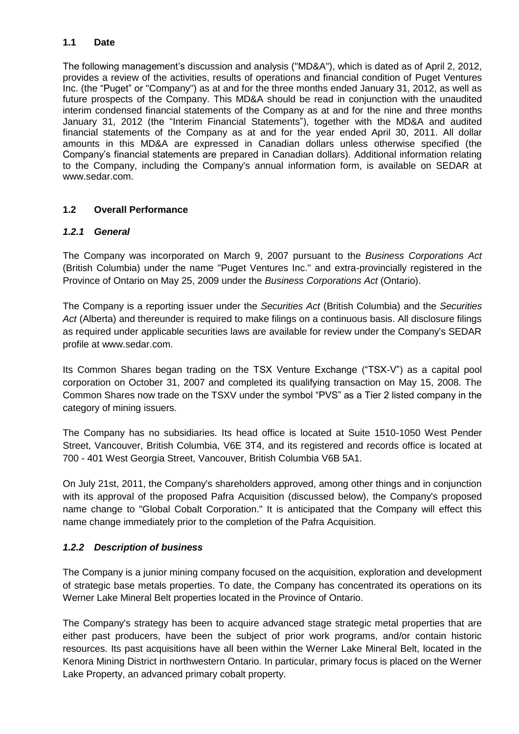# <span id="page-4-0"></span>**1.1 Date**

The following management's discussion and analysis ("MD&A"), which is dated as of April 2, 2012, provides a review of the activities, results of operations and financial condition of Puget Ventures Inc. (the "Puget" or "Company") as at and for the three months ended January 31, 2012, as well as future prospects of the Company. This MD&A should be read in conjunction with the unaudited interim condensed financial statements of the Company as at and for the nine and three months January 31, 2012 (the "Interim Financial Statements"), together with the MD&A and audited financial statements of the Company as at and for the year ended April 30, 2011. All dollar amounts in this MD&A are expressed in Canadian dollars unless otherwise specified (the Company's financial statements are prepared in Canadian dollars). Additional information relating to the Company, including the Company's annual information form, is available on SEDAR at www.sedar.com.

# <span id="page-4-1"></span>**1.2 Overall Performance**

# <span id="page-4-2"></span>*1.2.1 General*

The Company was incorporated on March 9, 2007 pursuant to the *Business Corporations Act* (British Columbia) under the name "Puget Ventures Inc." and extra-provincially registered in the Province of Ontario on May 25, 2009 under the *Business Corporations Act* (Ontario).

The Company is a reporting issuer under the *Securities Act* (British Columbia) and the *Securities Act* (Alberta) and thereunder is required to make filings on a continuous basis. All disclosure filings as required under applicable securities laws are available for review under the Company's SEDAR profile at www.sedar.com.

Its Common Shares began trading on the TSX Venture Exchange ("TSX-V") as a capital pool corporation on October 31, 2007 and completed its qualifying transaction on May 15, 2008. The Common Shares now trade on the TSXV under the symbol "PVS" as a Tier 2 listed company in the category of mining issuers.

The Company has no subsidiaries. Its head office is located at Suite 1510-1050 West Pender Street, Vancouver, British Columbia, V6E 3T4, and its registered and records office is located at 700 - 401 West Georgia Street, Vancouver, British Columbia V6B 5A1.

On July 21st, 2011, the Company's shareholders approved, among other things and in conjunction with its approval of the proposed Pafra Acquisition (discussed below), the Company's proposed name change to "Global Cobalt Corporation." It is anticipated that the Company will effect this name change immediately prior to the completion of the Pafra Acquisition.

# <span id="page-4-3"></span>*1.2.2 Description of business*

The Company is a junior mining company focused on the acquisition, exploration and development of strategic base metals properties. To date, the Company has concentrated its operations on its Werner Lake Mineral Belt properties located in the Province of Ontario.

The Company's strategy has been to acquire advanced stage strategic metal properties that are either past producers, have been the subject of prior work programs, and/or contain historic resources. Its past acquisitions have all been within the Werner Lake Mineral Belt, located in the Kenora Mining District in northwestern Ontario. In particular, primary focus is placed on the Werner Lake Property, an advanced primary cobalt property.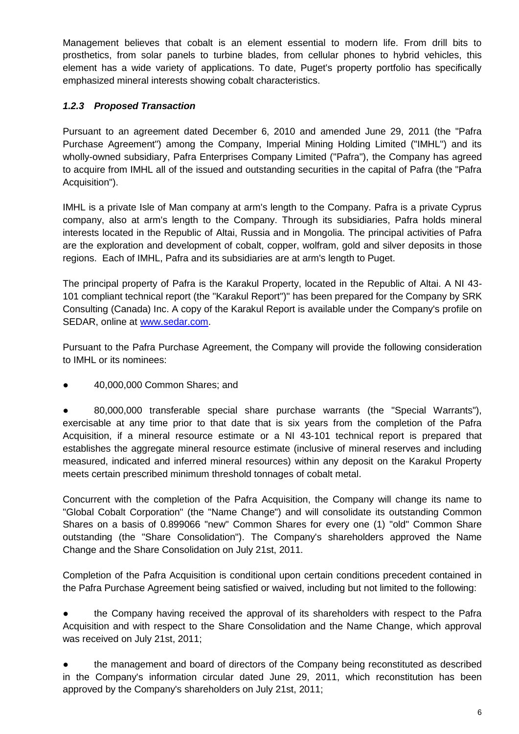Management believes that cobalt is an element essential to modern life. From drill bits to prosthetics, from solar panels to turbine blades, from cellular phones to hybrid vehicles, this element has a wide variety of applications. To date, Puget's property portfolio has specifically emphasized mineral interests showing cobalt characteristics.

# <span id="page-5-0"></span>*1.2.3 Proposed Transaction*

Pursuant to an agreement dated December 6, 2010 and amended June 29, 2011 (the "Pafra Purchase Agreement") among the Company, Imperial Mining Holding Limited ("IMHL") and its wholly-owned subsidiary, Pafra Enterprises Company Limited ("Pafra"), the Company has agreed to acquire from IMHL all of the issued and outstanding securities in the capital of Pafra (the "Pafra Acquisition").

IMHL is a private Isle of Man company at arm's length to the Company. Pafra is a private Cyprus company, also at arm's length to the Company. Through its subsidiaries, Pafra holds mineral interests located in the Republic of Altai, Russia and in Mongolia. The principal activities of Pafra are the exploration and development of cobalt, copper, wolfram, gold and silver deposits in those regions. Each of IMHL, Pafra and its subsidiaries are at arm's length to Puget.

The principal property of Pafra is the Karakul Property, located in the Republic of Altai. A NI 43- 101 compliant technical report (the "Karakul Report")" has been prepared for the Company by SRK Consulting (Canada) Inc. A copy of the Karakul Report is available under the Company's profile on SEDAR, online at [www.sedar.com.](http://www.sedar.com/)

Pursuant to the Pafra Purchase Agreement, the Company will provide the following consideration to IMHL or its nominees:

● 40,000,000 Common Shares; and

● 80,000,000 transferable special share purchase warrants (the "Special Warrants"), exercisable at any time prior to that date that is six years from the completion of the Pafra Acquisition, if a mineral resource estimate or a NI 43-101 technical report is prepared that establishes the aggregate mineral resource estimate (inclusive of mineral reserves and including measured, indicated and inferred mineral resources) within any deposit on the Karakul Property meets certain prescribed minimum threshold tonnages of cobalt metal.

Concurrent with the completion of the Pafra Acquisition, the Company will change its name to "Global Cobalt Corporation" (the "Name Change") and will consolidate its outstanding Common Shares on a basis of 0.899066 "new" Common Shares for every one (1) "old" Common Share outstanding (the "Share Consolidation"). The Company's shareholders approved the Name Change and the Share Consolidation on July 21st, 2011.

Completion of the Pafra Acquisition is conditional upon certain conditions precedent contained in the Pafra Purchase Agreement being satisfied or waived, including but not limited to the following:

the Company having received the approval of its shareholders with respect to the Pafra Acquisition and with respect to the Share Consolidation and the Name Change, which approval was received on July 21st, 2011;

the management and board of directors of the Company being reconstituted as described in the Company's information circular dated June 29, 2011, which reconstitution has been approved by the Company's shareholders on July 21st, 2011;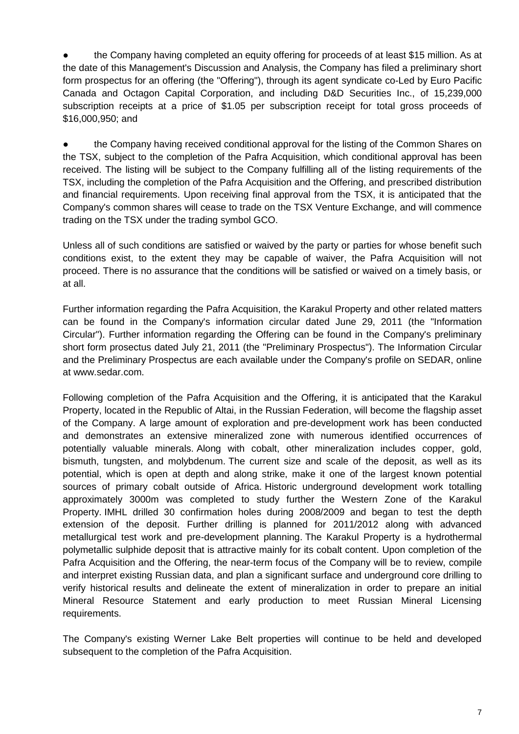the Company having completed an equity offering for proceeds of at least \$15 million. As at the date of this Management's Discussion and Analysis, the Company has filed a preliminary short form prospectus for an offering (the "Offering"), through its agent syndicate co-Led by Euro Pacific Canada and Octagon Capital Corporation, and including D&D Securities Inc., of 15,239,000 subscription receipts at a price of \$1.05 per subscription receipt for total gross proceeds of \$16,000,950; and

• the Company having received conditional approval for the listing of the Common Shares on the TSX, subject to the completion of the Pafra Acquisition, which conditional approval has been received. The listing will be subject to the Company fulfilling all of the listing requirements of the TSX, including the completion of the Pafra Acquisition and the Offering, and prescribed distribution and financial requirements. Upon receiving final approval from the TSX, it is anticipated that the Company's common shares will cease to trade on the TSX Venture Exchange, and will commence trading on the TSX under the trading symbol GCO.

Unless all of such conditions are satisfied or waived by the party or parties for whose benefit such conditions exist, to the extent they may be capable of waiver, the Pafra Acquisition will not proceed. There is no assurance that the conditions will be satisfied or waived on a timely basis, or at all.

Further information regarding the Pafra Acquisition, the Karakul Property and other related matters can be found in the Company's information circular dated June 29, 2011 (the "Information Circular"). Further information regarding the Offering can be found in the Company's preliminary short form prosectus dated July 21, 2011 (the "Preliminary Prospectus"). The Information Circular and the Preliminary Prospectus are each available under the Company's profile on SEDAR, online at www.sedar.com.

Following completion of the Pafra Acquisition and the Offering, it is anticipated that the Karakul Property, located in the Republic of Altai, in the Russian Federation, will become the flagship asset of the Company. A large amount of exploration and pre-development work has been conducted and demonstrates an extensive mineralized zone with numerous identified occurrences of potentially valuable minerals. Along with cobalt, other mineralization includes copper, gold, bismuth, tungsten, and molybdenum. The current size and scale of the deposit, as well as its potential, which is open at depth and along strike, make it one of the largest known potential sources of primary cobalt outside of Africa. Historic underground development work totalling approximately 3000m was completed to study further the Western Zone of the Karakul Property. IMHL drilled 30 confirmation holes during 2008/2009 and began to test the depth extension of the deposit. Further drilling is planned for 2011/2012 along with advanced metallurgical test work and pre-development planning. The Karakul Property is a hydrothermal polymetallic sulphide deposit that is attractive mainly for its cobalt content. Upon completion of the Pafra Acquisition and the Offering, the near-term focus of the Company will be to review, compile and interpret existing Russian data, and plan a significant surface and underground core drilling to verify historical results and delineate the extent of mineralization in order to prepare an initial Mineral Resource Statement and early production to meet Russian Mineral Licensing requirements.

The Company's existing Werner Lake Belt properties will continue to be held and developed subsequent to the completion of the Pafra Acquisition.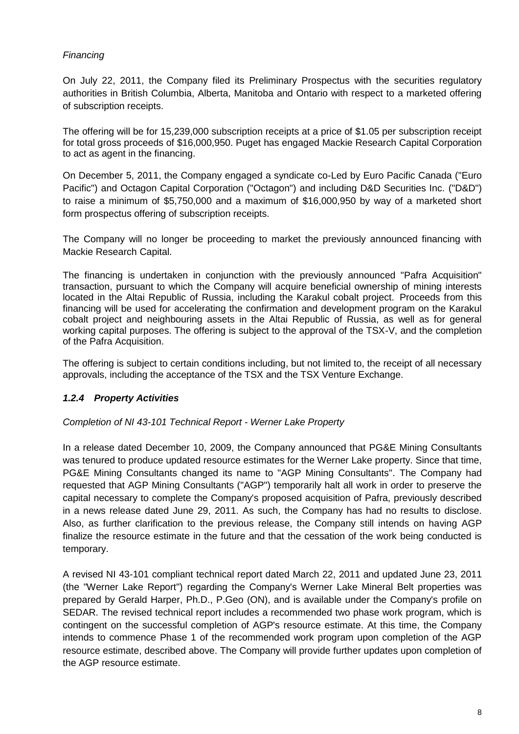# *Financing*

On July 22, 2011, the Company filed its Preliminary Prospectus with the securities regulatory authorities in British Columbia, Alberta, Manitoba and Ontario with respect to a marketed offering of subscription receipts.

The offering will be for 15,239,000 subscription receipts at a price of \$1.05 per subscription receipt for total gross proceeds of \$16,000,950. Puget has engaged Mackie Research Capital Corporation to act as agent in the financing.

On December 5, 2011, the Company engaged a syndicate co-Led by Euro Pacific Canada ("Euro Pacific") and Octagon Capital Corporation ("Octagon") and including D&D Securities Inc. ("D&D") to raise a minimum of \$5,750,000 and a maximum of \$16,000,950 by way of a marketed short form prospectus offering of subscription receipts.

The Company will no longer be proceeding to market the previously announced financing with Mackie Research Capital.

The financing is undertaken in conjunction with the previously announced "Pafra Acquisition" transaction, pursuant to which the Company will acquire beneficial ownership of mining interests located in the Altai Republic of Russia, including the Karakul cobalt project. Proceeds from this financing will be used for accelerating the confirmation and development program on the Karakul cobalt project and neighbouring assets in the Altai Republic of Russia, as well as for general working capital purposes. The offering is subject to the approval of the TSX-V, and the completion of the Pafra Acquisition.

The offering is subject to certain conditions including, but not limited to, the receipt of all necessary approvals, including the acceptance of the TSX and the TSX Venture Exchange.

# <span id="page-7-0"></span>*1.2.4 Property Activities*

#### *Completion of NI 43-101 Technical Report - Werner Lake Property*

In a release dated December 10, 2009, the Company announced that PG&E Mining Consultants was tenured to produce updated resource estimates for the Werner Lake property. Since that time, PG&E Mining Consultants changed its name to "AGP Mining Consultants". The Company had requested that AGP Mining Consultants ("AGP") temporarily halt all work in order to preserve the capital necessary to complete the Company's proposed acquisition of Pafra, previously described in a news release dated June 29, 2011. As such, the Company has had no results to disclose. Also, as further clarification to the previous release, the Company still intends on having AGP finalize the resource estimate in the future and that the cessation of the work being conducted is temporary.

<span id="page-7-1"></span>A revised NI 43-101 compliant technical report dated March 22, 2011 and updated June 23, 2011 (the "Werner Lake Report") regarding the Company's Werner Lake Mineral Belt properties was prepared by Gerald Harper, Ph.D., P.Geo (ON), and is available under the Company's profile on SEDAR. The revised technical report includes a recommended two phase work program, which is contingent on the successful completion of AGP's resource estimate. At this time, the Company intends to commence Phase 1 of the recommended work program upon completion of the AGP resource estimate, described above. The Company will provide further updates upon completion of the AGP resource estimate.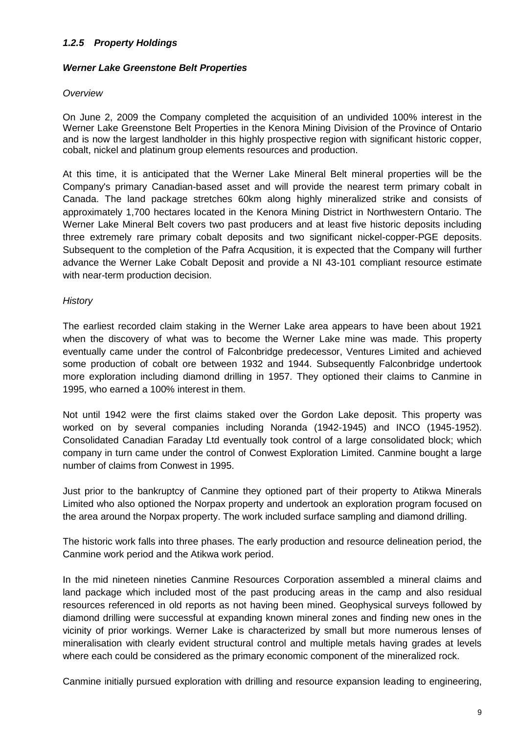# *1.2.5 Property Holdings*

#### <span id="page-8-0"></span>*Werner Lake Greenstone Belt Properties*

#### *Overview*

On June 2, 2009 the Company completed the acquisition of an undivided 100% interest in the Werner Lake Greenstone Belt Properties in the Kenora Mining Division of the Province of Ontario and is now the largest landholder in this highly prospective region with significant historic copper, cobalt, nickel and platinum group elements resources and production.

At this time, it is anticipated that the Werner Lake Mineral Belt mineral properties will be the Company's primary Canadian-based asset and will provide the nearest term primary cobalt in Canada. The land package stretches 60km along highly mineralized strike and consists of approximately 1,700 hectares located in the Kenora Mining District in Northwestern Ontario. The Werner Lake Mineral Belt covers two past producers and at least five historic deposits including three extremely rare primary cobalt deposits and two significant nickel-copper-PGE deposits. Subsequent to the completion of the Pafra Acqusition, it is expected that the Company will further advance the Werner Lake Cobalt Deposit and provide a NI 43-101 compliant resource estimate with near-term production decision.

#### *History*

The earliest recorded claim staking in the Werner Lake area appears to have been about 1921 when the discovery of what was to become the Werner Lake mine was made. This property eventually came under the control of Falconbridge predecessor, Ventures Limited and achieved some production of cobalt ore between 1932 and 1944. Subsequently Falconbridge undertook more exploration including diamond drilling in 1957. They optioned their claims to Canmine in 1995, who earned a 100% interest in them.

Not until 1942 were the first claims staked over the Gordon Lake deposit. This property was worked on by several companies including Noranda (1942-1945) and INCO (1945-1952). Consolidated Canadian Faraday Ltd eventually took control of a large consolidated block; which company in turn came under the control of Conwest Exploration Limited. Canmine bought a large number of claims from Conwest in 1995.

Just prior to the bankruptcy of Canmine they optioned part of their property to Atikwa Minerals Limited who also optioned the Norpax property and undertook an exploration program focused on the area around the Norpax property. The work included surface sampling and diamond drilling.

The historic work falls into three phases. The early production and resource delineation period, the Canmine work period and the Atikwa work period.

In the mid nineteen nineties Canmine Resources Corporation assembled a mineral claims and land package which included most of the past producing areas in the camp and also residual resources referenced in old reports as not having been mined. Geophysical surveys followed by diamond drilling were successful at expanding known mineral zones and finding new ones in the vicinity of prior workings. Werner Lake is characterized by small but more numerous lenses of mineralisation with clearly evident structural control and multiple metals having grades at levels where each could be considered as the primary economic component of the mineralized rock.

Canmine initially pursued exploration with drilling and resource expansion leading to engineering,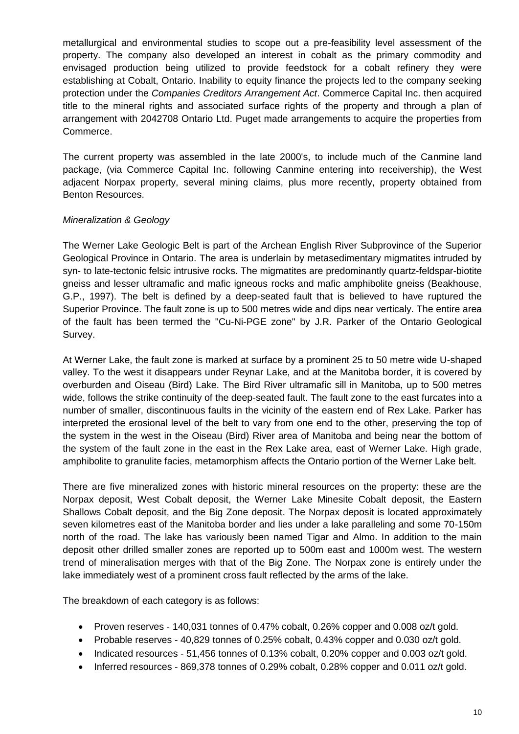metallurgical and environmental studies to scope out a pre-feasibility level assessment of the property. The company also developed an interest in cobalt as the primary commodity and envisaged production being utilized to provide feedstock for a cobalt refinery they were establishing at Cobalt, Ontario. Inability to equity finance the projects led to the company seeking protection under the *Companies Creditors Arrangement Act*. Commerce Capital Inc. then acquired title to the mineral rights and associated surface rights of the property and through a plan of arrangement with 2042708 Ontario Ltd. Puget made arrangements to acquire the properties from Commerce.

The current property was assembled in the late 2000's, to include much of the Canmine land package, (via Commerce Capital Inc. following Canmine entering into receivership), the West adjacent Norpax property, several mining claims, plus more recently, property obtained from Benton Resources.

# *Mineralization & Geology*

The Werner Lake Geologic Belt is part of the Archean English River Subprovince of the Superior Geological Province in Ontario. The area is underlain by metasedimentary migmatites intruded by syn- to late-tectonic felsic intrusive rocks. The migmatites are predominantly quartz-feldspar-biotite gneiss and lesser ultramafic and mafic igneous rocks and mafic amphibolite gneiss (Beakhouse, G.P., 1997). The belt is defined by a deep-seated fault that is believed to have ruptured the Superior Province. The fault zone is up to 500 metres wide and dips near verticaly. The entire area of the fault has been termed the "Cu-Ni-PGE zone" by J.R. Parker of the Ontario Geological Survey.

At Werner Lake, the fault zone is marked at surface by a prominent 25 to 50 metre wide U-shaped valley. To the west it disappears under Reynar Lake, and at the Manitoba border, it is covered by overburden and Oiseau (Bird) Lake. The Bird River ultramafic sill in Manitoba, up to 500 metres wide, follows the strike continuity of the deep-seated fault. The fault zone to the east furcates into a number of smaller, discontinuous faults in the vicinity of the eastern end of Rex Lake. Parker has interpreted the erosional level of the belt to vary from one end to the other, preserving the top of the system in the west in the Oiseau (Bird) River area of Manitoba and being near the bottom of the system of the fault zone in the east in the Rex Lake area, east of Werner Lake. High grade, amphibolite to granulite facies, metamorphism affects the Ontario portion of the Werner Lake belt.

There are five mineralized zones with historic mineral resources on the property: these are the Norpax deposit, West Cobalt deposit, the Werner Lake Minesite Cobalt deposit, the Eastern Shallows Cobalt deposit, and the Big Zone deposit. The Norpax deposit is located approximately seven kilometres east of the Manitoba border and lies under a lake paralleling and some 70-150m north of the road. The lake has variously been named Tigar and Almo. In addition to the main deposit other drilled smaller zones are reported up to 500m east and 1000m west. The western trend of mineralisation merges with that of the Big Zone. The Norpax zone is entirely under the lake immediately west of a prominent cross fault reflected by the arms of the lake.

The breakdown of each category is as follows:

- Proven reserves 140,031 tonnes of 0.47% cobalt, 0.26% copper and 0.008 oz/t gold.
- Probable reserves 40,829 tonnes of 0.25% cobalt, 0.43% copper and 0.030 oz/t gold.
- $\bullet$  Indicated resources 51,456 tonnes of 0.13% cobalt, 0.20% copper and 0.003 oz/t gold.
- Inferred resources 869,378 tonnes of 0.29% cobalt, 0.28% copper and 0.011 oz/t gold.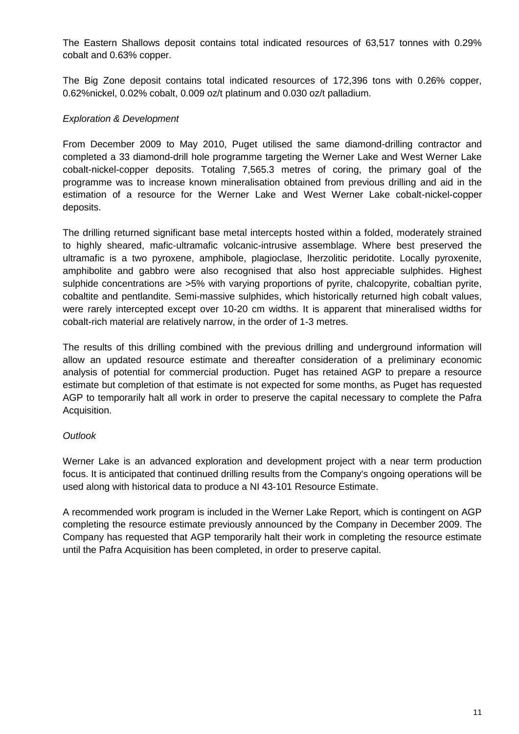The Eastern Shallows deposit contains total indicated resources of 63,517 tonnes with 0.29% cobalt and 0.63% copper.

The Big Zone deposit contains total indicated resources of 172,396 tons with 0.26% copper, 0.62%nickel, 0.02% cobalt, 0.009 oz/t platinum and 0.030 oz/t palladium.

# *Exploration & Development*

From December 2009 to May 2010, Puget utilised the same diamond-drilling contractor and completed a 33 diamond-drill hole programme targeting the Werner Lake and West Werner Lake cobalt-nickel-copper deposits. Totaling 7,565.3 metres of coring, the primary goal of the programme was to increase known mineralisation obtained from previous drilling and aid in the estimation of a resource for the Werner Lake and West Werner Lake cobalt-nickel-copper deposits.

The drilling returned significant base metal intercepts hosted within a folded, moderately strained to highly sheared, mafic-ultramafic volcanic-intrusive assemblage. Where best preserved the ultramafic is a two pyroxene, amphibole, plagioclase, lherzolitic peridotite. Locally pyroxenite, amphibolite and gabbro were also recognised that also host appreciable sulphides. Highest sulphide concentrations are >5% with varying proportions of pyrite, chalcopyrite, cobaltian pyrite, cobaltite and pentlandite. Semi-massive sulphides, which historically returned high cobalt values, were rarely intercepted except over 10-20 cm widths. It is apparent that mineralised widths for cobalt-rich material are relatively narrow, in the order of 1-3 metres.

The results of this drilling combined with the previous drilling and underground information will allow an updated resource estimate and thereafter consideration of a preliminary economic analysis of potential for commercial production. Puget has retained AGP to prepare a resource estimate but completion of that estimate is not expected for some months, as Puget has requested AGP to temporarily halt all work in order to preserve the capital necessary to complete the Pafra Acquisition.

#### *Outlook*

Werner Lake is an advanced exploration and development project with a near term production focus. It is anticipated that continued drilling results from the Company's ongoing operations will be used along with historical data to produce a NI 43-101 Resource Estimate.

A recommended work program is included in the Werner Lake Report, which is contingent on AGP completing the resource estimate previously announced by the Company in December 2009. The Company has requested that AGP temporarily halt their work in completing the resource estimate until the Pafra Acquisition has been completed, in order to preserve capital.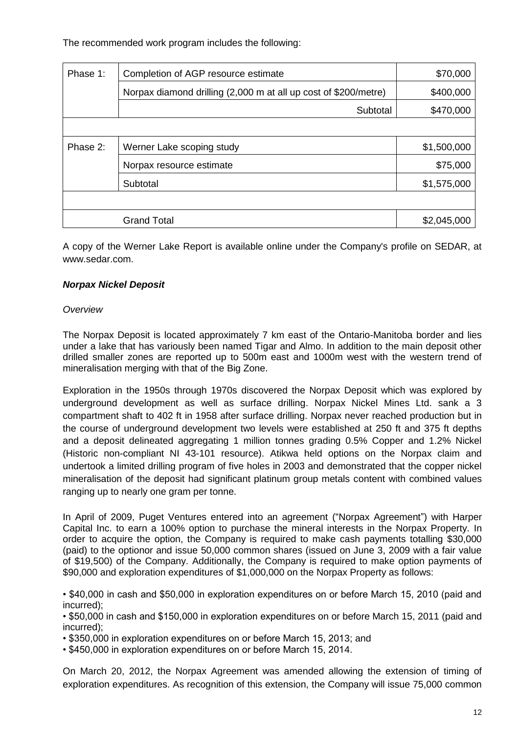The recommended work program includes the following:

| Phase 1: | Completion of AGP resource estimate                             | \$70,000    |
|----------|-----------------------------------------------------------------|-------------|
|          | Norpax diamond drilling (2,000 m at all up cost of \$200/metre) | \$400,000   |
|          | Subtotal                                                        | \$470,000   |
|          |                                                                 |             |
| Phase 2: | Werner Lake scoping study                                       | \$1,500,000 |
|          | Norpax resource estimate                                        | \$75,000    |
|          | Subtotal                                                        | \$1,575,000 |
|          |                                                                 |             |
|          | <b>Grand Total</b>                                              | \$2,045,000 |

A copy of the Werner Lake Report is available online under the Company's profile on SEDAR, at [www.sedar.com.](http://www.sedar.com/)

# <span id="page-11-0"></span>*Norpax Nickel Deposit*

#### *Overview*

The Norpax Deposit is located approximately 7 km east of the Ontario-Manitoba border and lies under a lake that has variously been named Tigar and Almo. In addition to the main deposit other drilled smaller zones are reported up to 500m east and 1000m west with the western trend of mineralisation merging with that of the Big Zone.

Exploration in the 1950s through 1970s discovered the Norpax Deposit which was explored by underground development as well as surface drilling. Norpax Nickel Mines Ltd. sank a 3 compartment shaft to 402 ft in 1958 after surface drilling. Norpax never reached production but in the course of underground development two levels were established at 250 ft and 375 ft depths and a deposit delineated aggregating 1 million tonnes grading 0.5% Copper and 1.2% Nickel (Historic non-compliant NI 43-101 resource). Atikwa held options on the Norpax claim and undertook a limited drilling program of five holes in 2003 and demonstrated that the copper nickel mineralisation of the deposit had significant platinum group metals content with combined values ranging up to nearly one gram per tonne.

In April of 2009, Puget Ventures entered into an agreement ("Norpax Agreement") with Harper Capital Inc. to earn a 100% option to purchase the mineral interests in the Norpax Property. In order to acquire the option, the Company is required to make cash payments totalling \$30,000 (paid) to the optionor and issue 50,000 common shares (issued on June 3, 2009 with a fair value of \$19,500) of the Company. Additionally, the Company is required to make option payments of \$90,000 and exploration expenditures of \$1,000,000 on the Norpax Property as follows:

• \$40,000 in cash and \$50,000 in exploration expenditures on or before March 15, 2010 (paid and incurred);

• \$50,000 in cash and \$150,000 in exploration expenditures on or before March 15, 2011 (paid and incurred);

• \$350,000 in exploration expenditures on or before March 15, 2013; and

• \$450,000 in exploration expenditures on or before March 15, 2014.

On March 20, 2012, the Norpax Agreement was amended allowing the extension of timing of exploration expenditures. As recognition of this extension, the Company will issue 75,000 common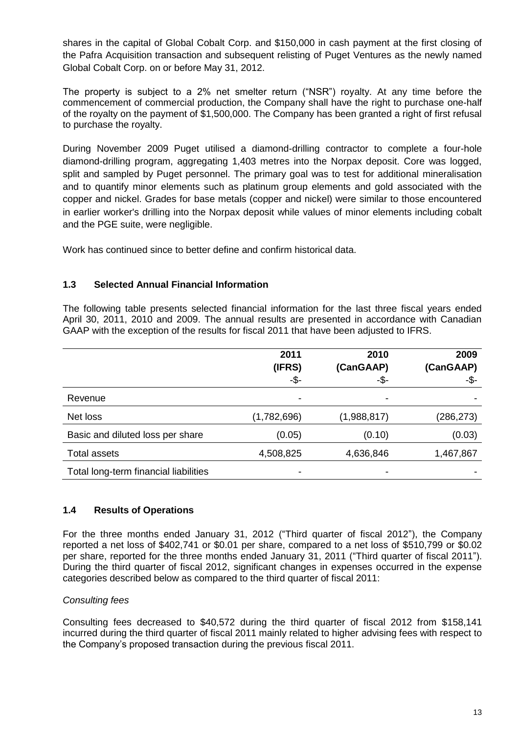shares in the capital of Global Cobalt Corp. and \$150,000 in cash payment at the first closing of the Pafra Acquisition transaction and subsequent relisting of Puget Ventures as the newly named Global Cobalt Corp. on or before May 31, 2012.

The property is subject to a 2% net smelter return ("NSR") royalty. At any time before the commencement of commercial production, the Company shall have the right to purchase one-half of the royalty on the payment of \$1,500,000. The Company has been granted a right of first refusal to purchase the royalty.

During November 2009 Puget utilised a diamond-drilling contractor to complete a four-hole diamond-drilling program, aggregating 1,403 metres into the Norpax deposit. Core was logged, split and sampled by Puget personnel. The primary goal was to test for additional mineralisation and to quantify minor elements such as platinum group elements and gold associated with the copper and nickel. Grades for base metals (copper and nickel) were similar to those encountered in earlier worker's drilling into the Norpax deposit while values of minor elements including cobalt and the PGE suite, were negligible.

<span id="page-12-0"></span>Work has continued since to better define and confirm historical data.

# **1.3 Selected Annual Financial Information**

The following table presents selected financial information for the last three fiscal years ended April 30, 2011, 2010 and 2009. The annual results are presented in accordance with Canadian GAAP with the exception of the results for fiscal 2011 that have been adjusted to IFRS.

|                                       | 2011        | 2010        | 2009       |
|---------------------------------------|-------------|-------------|------------|
|                                       | (IFRS)      | (CanGAAP)   | (CanGAAP)  |
|                                       | -\$-        | -\$-        | -\$-       |
| Revenue                               |             |             |            |
| Net loss                              | (1,782,696) | (1,988,817) | (286, 273) |
| Basic and diluted loss per share      | (0.05)      | (0.10)      | (0.03)     |
| <b>Total assets</b>                   | 4,508,825   | 4,636,846   | 1,467,867  |
| Total long-term financial liabilities |             |             |            |

#### <span id="page-12-1"></span>**1.4 Results of Operations**

For the three months ended January 31, 2012 ("Third quarter of fiscal 2012"), the Company reported a net loss of \$402,741 or \$0.01 per share, compared to a net loss of \$510,799 or \$0.02 per share, reported for the three months ended January 31, 2011 ("Third quarter of fiscal 2011"). During the third quarter of fiscal 2012, significant changes in expenses occurred in the expense categories described below as compared to the third quarter of fiscal 2011:

#### *Consulting fees*

Consulting fees decreased to \$40,572 during the third quarter of fiscal 2012 from \$158,141 incurred during the third quarter of fiscal 2011 mainly related to higher advising fees with respect to the Company's proposed transaction during the previous fiscal 2011.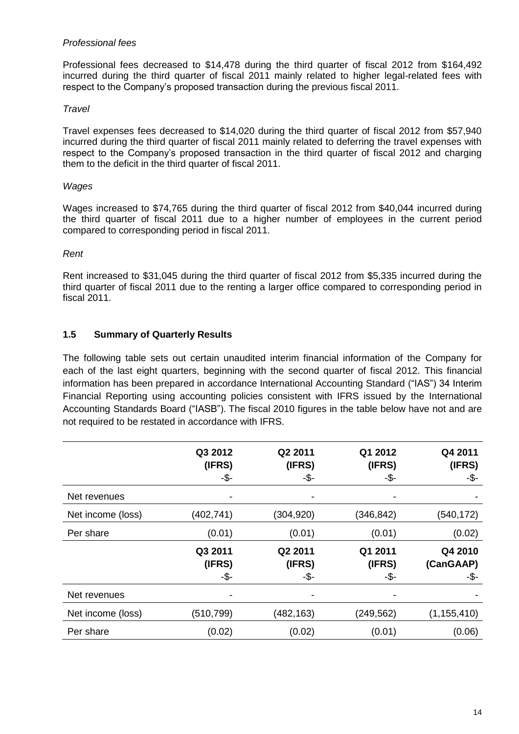#### *Professional fees*

Professional fees decreased to \$14,478 during the third quarter of fiscal 2012 from \$164,492 incurred during the third quarter of fiscal 2011 mainly related to higher legal-related fees with respect to the Company's proposed transaction during the previous fiscal 2011.

#### *Travel*

Travel expenses fees decreased to \$14,020 during the third quarter of fiscal 2012 from \$57,940 incurred during the third quarter of fiscal 2011 mainly related to deferring the travel expenses with respect to the Company's proposed transaction in the third quarter of fiscal 2012 and charging them to the deficit in the third quarter of fiscal 2011.

#### *Wages*

Wages increased to \$74,765 during the third quarter of fiscal 2012 from \$40,044 incurred during the third quarter of fiscal 2011 due to a higher number of employees in the current period compared to corresponding period in fiscal 2011.

#### *Rent*

Rent increased to \$31,045 during the third quarter of fiscal 2012 from \$5,335 incurred during the third quarter of fiscal 2011 due to the renting a larger office compared to corresponding period in fiscal 2011.

# <span id="page-13-0"></span>**1.5 Summary of Quarterly Results**

The following table sets out certain unaudited interim financial information of the Company for each of the last eight quarters, beginning with the second quarter of fiscal 2012. This financial information has been prepared in accordance International Accounting Standard ("IAS") 34 Interim Financial Reporting using accounting policies consistent with IFRS issued by the International Accounting Standards Board ("IASB"). The fiscal 2010 figures in the table below have not and are not required to be restated in accordance with IFRS.

|                   | Q3 2012<br>(IFRS)<br>-\$- | Q2 2011<br>(IFRS)<br>-\$- | Q1 2012<br>(IFRS)<br>-\$- | Q4 2011<br>(IFRS)<br>-\$-    |
|-------------------|---------------------------|---------------------------|---------------------------|------------------------------|
| Net revenues      |                           | $\blacksquare$            | -                         |                              |
| Net income (loss) | (402, 741)                | (304,920)                 | (346, 842)                | (540, 172)                   |
| Per share         | (0.01)                    | (0.01)                    | (0.01)                    | (0.02)                       |
|                   | Q3 2011<br>(IFRS)<br>-\$- | Q2 2011<br>(IFRS)<br>-\$- | Q1 2011<br>(IFRS)<br>-\$- | Q4 2010<br>(CanGAAP)<br>-\$- |
| Net revenues      | ۰                         | $\blacksquare$            | -                         |                              |
| Net income (loss) | (510, 799)                | (482, 163)                | (249, 562)                | (1, 155, 410)                |
| Per share         | (0.02)                    | (0.02)                    | (0.01)                    | (0.06)                       |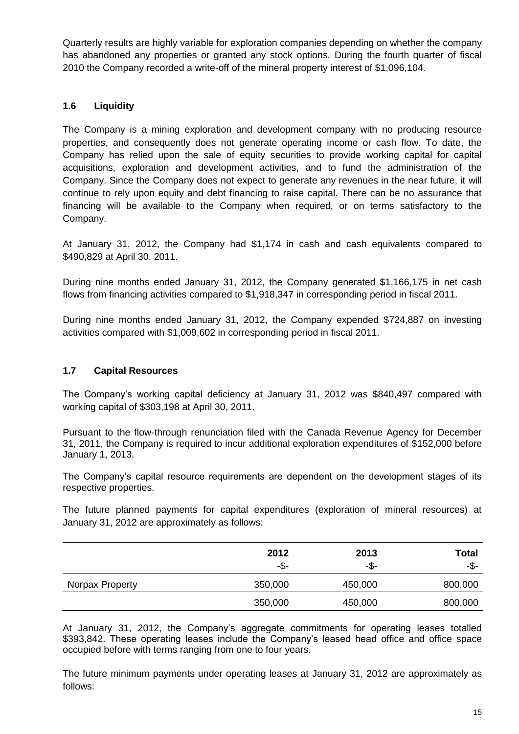Quarterly results are highly variable for exploration companies depending on whether the company has abandoned any properties or granted any stock options. During the fourth quarter of fiscal 2010 the Company recorded a write-off of the mineral property interest of \$1,096,104.

# <span id="page-14-0"></span>**1.6 Liquidity**

The Company is a mining exploration and development company with no producing resource properties, and consequently does not generate operating income or cash flow. To date, the Company has relied upon the sale of equity securities to provide working capital for capital acquisitions, exploration and development activities, and to fund the administration of the Company. Since the Company does not expect to generate any revenues in the near future, it will continue to rely upon equity and debt financing to raise capital. There can be no assurance that financing will be available to the Company when required, or on terms satisfactory to the Company.

At January 31, 2012, the Company had \$1,174 in cash and cash equivalents compared to \$490,829 at April 30, 2011.

During nine months ended January 31, 2012, the Company generated \$1,166,175 in net cash flows from financing activities compared to \$1,918,347 in corresponding period in fiscal 2011.

During nine months ended January 31, 2012, the Company expended \$724,887 on investing activities compared with \$1,009,602 in corresponding period in fiscal 2011.

# <span id="page-14-1"></span>**1.7 Capital Resources**

The Company's working capital deficiency at January 31, 2012 was \$840,497 compared with working capital of \$303,198 at April 30, 2011.

Pursuant to the flow-through renunciation filed with the Canada Revenue Agency for December 31, 2011, the Company is required to incur additional exploration expenditures of \$152,000 before January 1, 2013.

The Company's capital resource requirements are dependent on the development stages of its respective properties.

The future planned payments for capital expenditures (exploration of mineral resources) at January 31, 2012 are approximately as follows:

|                 | 2012<br>-\$- | 2013<br>-\$- | <b>Total</b><br>-\$- |
|-----------------|--------------|--------------|----------------------|
| Norpax Property | 350,000      | 450,000      | 800,000              |
|                 | 350,000      | 450,000      | 800,000              |

At January 31, 2012, the Company's aggregate commitments for operating leases totalled \$393,842. These operating leases include the Company's leased head office and office space occupied before with terms ranging from one to four years.

The future minimum payments under operating leases at January 31, 2012 are approximately as follows: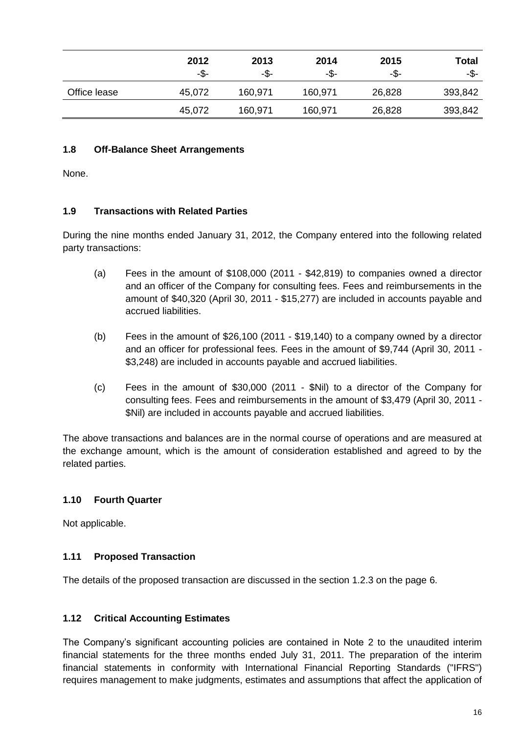|              | 2012<br>-\$- | 2013<br>-\$- | 2014<br>-\$- | 2015<br>-\$- | <b>Total</b><br>-\$- |
|--------------|--------------|--------------|--------------|--------------|----------------------|
| Office lease | 45,072       | 160,971      | 160,971      | 26,828       | 393,842              |
|              | 45,072       | 160,971      | 160,971      | 26,828       | 393,842              |

# <span id="page-15-0"></span>**1.8 Off-Balance Sheet Arrangements**

None.

# <span id="page-15-1"></span>**1.9 Transactions with Related Parties**

During the nine months ended January 31, 2012, the Company entered into the following related party transactions:

- (a) Fees in the amount of \$108,000 (2011 \$42,819) to companies owned a director and an officer of the Company for consulting fees. Fees and reimbursements in the amount of \$40,320 (April 30, 2011 - \$15,277) are included in accounts payable and accrued liabilities.
- (b) Fees in the amount of \$26,100 (2011 \$19,140) to a company owned by a director and an officer for professional fees. Fees in the amount of \$9,744 (April 30, 2011 - \$3,248) are included in accounts payable and accrued liabilities.
- (c) Fees in the amount of \$30,000 (2011 \$Nil) to a director of the Company for consulting fees. Fees and reimbursements in the amount of \$3,479 (April 30, 2011 - \$Nil) are included in accounts payable and accrued liabilities.

The above transactions and balances are in the normal course of operations and are measured at the exchange amount, which is the amount of consideration established and agreed to by the related parties.

# <span id="page-15-2"></span>**1.10 Fourth Quarter**

Not applicable.

#### <span id="page-15-3"></span>**1.11 Proposed Transaction**

The details of the proposed transaction are discussed in the section 1.2.3 on the page 6.

# <span id="page-15-4"></span>**1.12 Critical Accounting Estimates**

The Company's significant accounting policies are contained in Note 2 to the unaudited interim financial statements for the three months ended July 31, 2011. The preparation of the interim financial statements in conformity with International Financial Reporting Standards ("IFRS") requires management to make judgments, estimates and assumptions that affect the application of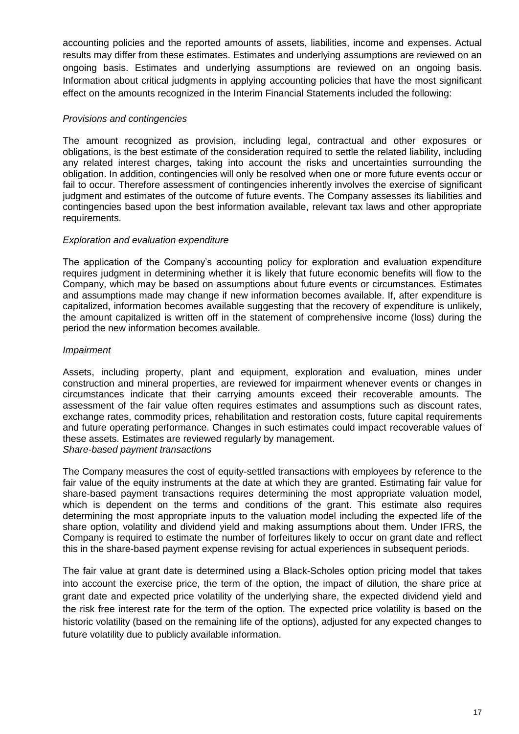accounting policies and the reported amounts of assets, liabilities, income and expenses. Actual results may differ from these estimates. Estimates and underlying assumptions are reviewed on an ongoing basis. Estimates and underlying assumptions are reviewed on an ongoing basis. Information about critical judgments in applying accounting policies that have the most significant effect on the amounts recognized in the Interim Financial Statements included the following:

#### *Provisions and contingencies*

The amount recognized as provision, including legal, contractual and other exposures or obligations, is the best estimate of the consideration required to settle the related liability, including any related interest charges, taking into account the risks and uncertainties surrounding the obligation. In addition, contingencies will only be resolved when one or more future events occur or fail to occur. Therefore assessment of contingencies inherently involves the exercise of significant judgment and estimates of the outcome of future events. The Company assesses its liabilities and contingencies based upon the best information available, relevant tax laws and other appropriate requirements.

# *Exploration and evaluation expenditure*

The application of the Company's accounting policy for exploration and evaluation expenditure requires judgment in determining whether it is likely that future economic benefits will flow to the Company, which may be based on assumptions about future events or circumstances. Estimates and assumptions made may change if new information becomes available. If, after expenditure is capitalized, information becomes available suggesting that the recovery of expenditure is unlikely, the amount capitalized is written off in the statement of comprehensive income (loss) during the period the new information becomes available.

# *Impairment*

Assets, including property, plant and equipment, exploration and evaluation, mines under construction and mineral properties, are reviewed for impairment whenever events or changes in circumstances indicate that their carrying amounts exceed their recoverable amounts. The assessment of the fair value often requires estimates and assumptions such as discount rates, exchange rates, commodity prices, rehabilitation and restoration costs, future capital requirements and future operating performance. Changes in such estimates could impact recoverable values of these assets. Estimates are reviewed regularly by management. *Share-based payment transactions*

The Company measures the cost of equity-settled transactions with employees by reference to the fair value of the equity instruments at the date at which they are granted. Estimating fair value for share-based payment transactions requires determining the most appropriate valuation model, which is dependent on the terms and conditions of the grant. This estimate also requires determining the most appropriate inputs to the valuation model including the expected life of the share option, volatility and dividend yield and making assumptions about them. Under IFRS, the Company is required to estimate the number of forfeitures likely to occur on grant date and reflect this in the share-based payment expense revising for actual experiences in subsequent periods.

<span id="page-16-0"></span>The fair value at grant date is determined using a Black-Scholes option pricing model that takes into account the exercise price, the term of the option, the impact of dilution, the share price at grant date and expected price volatility of the underlying share, the expected dividend yield and the risk free interest rate for the term of the option. The expected price volatility is based on the historic volatility (based on the remaining life of the options), adjusted for any expected changes to future volatility due to publicly available information.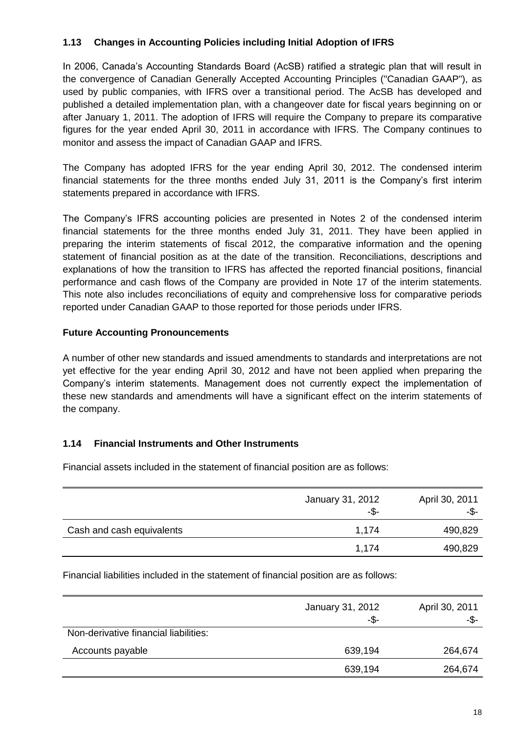# **1.13 Changes in Accounting Policies including Initial Adoption of IFRS**

In 2006, Canada's Accounting Standards Board (AcSB) ratified a strategic plan that will result in the convergence of Canadian Generally Accepted Accounting Principles ("Canadian GAAP"), as used by public companies, with IFRS over a transitional period. The AcSB has developed and published a detailed implementation plan, with a changeover date for fiscal years beginning on or after January 1, 2011. The adoption of IFRS will require the Company to prepare its comparative figures for the year ended April 30, 2011 in accordance with IFRS. The Company continues to monitor and assess the impact of Canadian GAAP and IFRS.

The Company has adopted IFRS for the year ending April 30, 2012. The condensed interim financial statements for the three months ended July 31, 2011 is the Company's first interim statements prepared in accordance with IFRS.

The Company's IFRS accounting policies are presented in Notes 2 of the condensed interim financial statements for the three months ended July 31, 2011. They have been applied in preparing the interim statements of fiscal 2012, the comparative information and the opening statement of financial position as at the date of the transition. Reconciliations, descriptions and explanations of how the transition to IFRS has affected the reported financial positions, financial performance and cash flows of the Company are provided in Note 17 of the interim statements. This note also includes reconciliations of equity and comprehensive loss for comparative periods reported under Canadian GAAP to those reported for those periods under IFRS.

# **Future Accounting Pronouncements**

A number of other new standards and issued amendments to standards and interpretations are not yet effective for the year ending April 30, 2012 and have not been applied when preparing the Company's interim statements. Management does not currently expect the implementation of these new standards and amendments will have a significant effect on the interim statements of the company.

#### <span id="page-17-0"></span>**1.14 Financial Instruments and Other Instruments**

Financial assets included in the statement of financial position are as follows:

|                           | January 31, 2012<br>-\$- | April 30, 2011<br>-\$- |
|---------------------------|--------------------------|------------------------|
| Cash and cash equivalents | 1,174                    | 490,829                |
|                           | 1,174                    | 490,829                |

Financial liabilities included in the statement of financial position are as follows:

|                                       | January 31, 2012<br>-\$- | April 30, 2011<br>-\$- |
|---------------------------------------|--------------------------|------------------------|
| Non-derivative financial liabilities: |                          |                        |
| Accounts payable                      | 639,194                  | 264,674                |
|                                       | 639,194                  | 264,674                |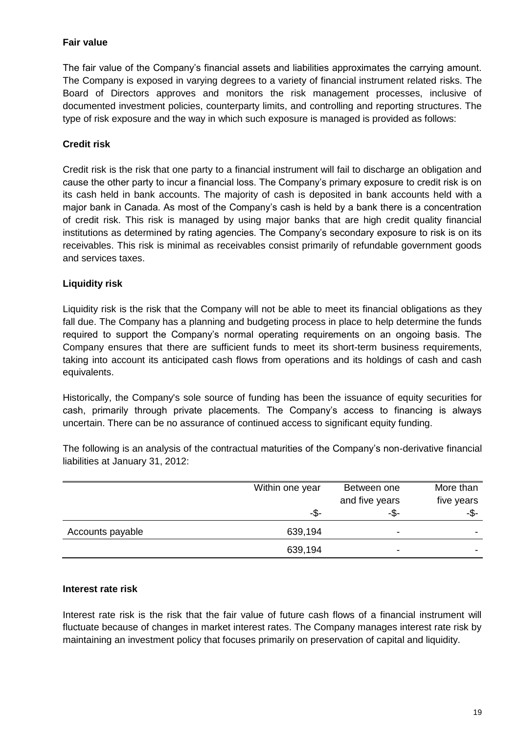# **Fair value**

The fair value of the Company's financial assets and liabilities approximates the carrying amount. The Company is exposed in varying degrees to a variety of financial instrument related risks. The Board of Directors approves and monitors the risk management processes, inclusive of documented investment policies, counterparty limits, and controlling and reporting structures. The type of risk exposure and the way in which such exposure is managed is provided as follows:

# **Credit risk**

Credit risk is the risk that one party to a financial instrument will fail to discharge an obligation and cause the other party to incur a financial loss. The Company's primary exposure to credit risk is on its cash held in bank accounts. The majority of cash is deposited in bank accounts held with a major bank in Canada. As most of the Company's cash is held by a bank there is a concentration of credit risk. This risk is managed by using major banks that are high credit quality financial institutions as determined by rating agencies. The Company's secondary exposure to risk is on its receivables. This risk is minimal as receivables consist primarily of refundable government goods and services taxes.

# **Liquidity risk**

Liquidity risk is the risk that the Company will not be able to meet its financial obligations as they fall due. The Company has a planning and budgeting process in place to help determine the funds required to support the Company's normal operating requirements on an ongoing basis. The Company ensures that there are sufficient funds to meet its short-term business requirements, taking into account its anticipated cash flows from operations and its holdings of cash and cash equivalents.

Historically, the Company's sole source of funding has been the issuance of equity securities for cash, primarily through private placements. The Company's access to financing is always uncertain. There can be no assurance of continued access to significant equity funding.

The following is an analysis of the contractual maturities of the Company's non-derivative financial liabilities at January 31, 2012:

|                  | Within one year | Between one<br>and five years | More than<br>five years |
|------------------|-----------------|-------------------------------|-------------------------|
|                  | -\$-            | -\$-                          | -\$-                    |
| Accounts payable | 639,194         | ۰                             |                         |
|                  | 639,194         | $\overline{\phantom{0}}$      |                         |

#### **Interest rate risk**

Interest rate risk is the risk that the fair value of future cash flows of a financial instrument will fluctuate because of changes in market interest rates. The Company manages interest rate risk by maintaining an investment policy that focuses primarily on preservation of capital and liquidity.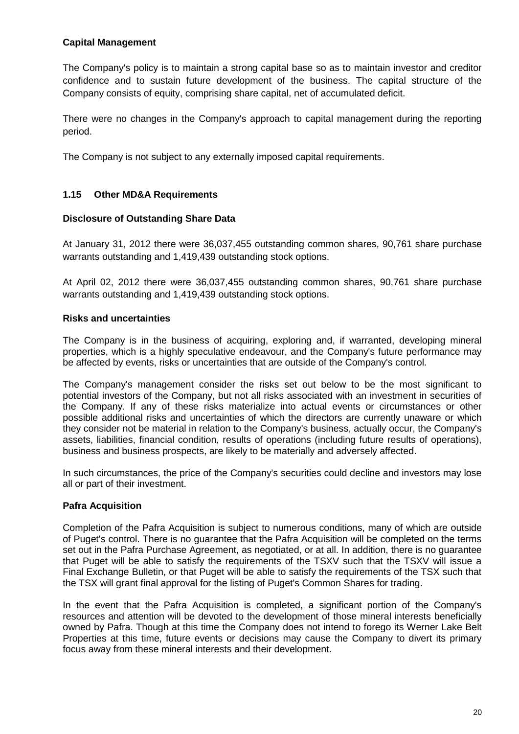# **Capital Management**

The Company's policy is to maintain a strong capital base so as to maintain investor and creditor confidence and to sustain future development of the business. The capital structure of the Company consists of equity, comprising share capital, net of accumulated deficit.

There were no changes in the Company's approach to capital management during the reporting period.

The Company is not subject to any externally imposed capital requirements.

# <span id="page-19-0"></span>**1.15 Other MD&A Requirements**

#### **Disclosure of Outstanding Share Data**

At January 31, 2012 there were 36,037,455 outstanding common shares, 90,761 share purchase warrants outstanding and 1,419,439 outstanding stock options.

At April 02, 2012 there were 36,037,455 outstanding common shares, 90,761 share purchase warrants outstanding and 1,419,439 outstanding stock options.

# **Risks and uncertainties**

The Company is in the business of acquiring, exploring and, if warranted, developing mineral properties, which is a highly speculative endeavour, and the Company's future performance may be affected by events, risks or uncertainties that are outside of the Company's control.

The Company's management consider the risks set out below to be the most significant to potential investors of the Company, but not all risks associated with an investment in securities of the Company. If any of these risks materialize into actual events or circumstances or other possible additional risks and uncertainties of which the directors are currently unaware or which they consider not be material in relation to the Company's business, actually occur, the Company's assets, liabilities, financial condition, results of operations (including future results of operations), business and business prospects, are likely to be materially and adversely affected.

In such circumstances, the price of the Company's securities could decline and investors may lose all or part of their investment.

# **Pafra Acquisition**

Completion of the Pafra Acquisition is subject to numerous conditions, many of which are outside of Puget's control. There is no guarantee that the Pafra Acquisition will be completed on the terms set out in the Pafra Purchase Agreement, as negotiated, or at all. In addition, there is no guarantee that Puget will be able to satisfy the requirements of the TSXV such that the TSXV will issue a Final Exchange Bulletin, or that Puget will be able to satisfy the requirements of the TSX such that the TSX will grant final approval for the listing of Puget's Common Shares for trading.

In the event that the Pafra Acquisition is completed, a significant portion of the Company's resources and attention will be devoted to the development of those mineral interests beneficially owned by Pafra. Though at this time the Company does not intend to forego its Werner Lake Belt Properties at this time, future events or decisions may cause the Company to divert its primary focus away from these mineral interests and their development.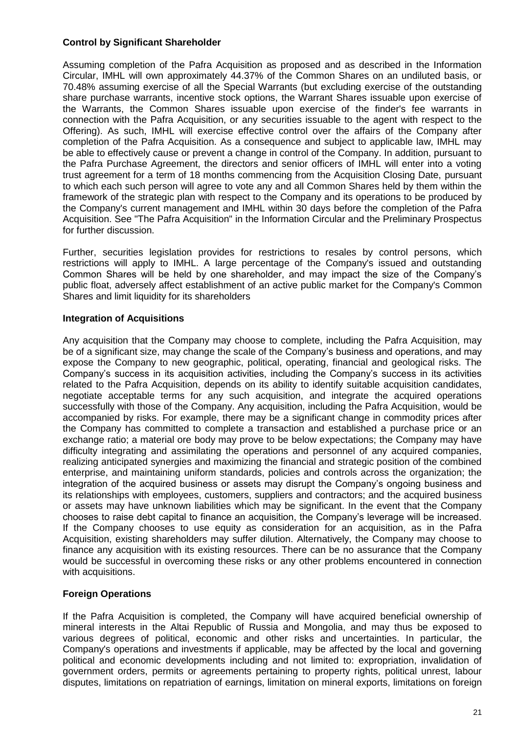# **Control by Significant Shareholder**

Assuming completion of the Pafra Acquisition as proposed and as described in the Information Circular, IMHL will own approximately 44.37% of the Common Shares on an undiluted basis, or 70.48% assuming exercise of all the Special Warrants (but excluding exercise of the outstanding share purchase warrants, incentive stock options, the Warrant Shares issuable upon exercise of the Warrants, the Common Shares issuable upon exercise of the finder's fee warrants in connection with the Pafra Acquisition, or any securities issuable to the agent with respect to the Offering). As such, IMHL will exercise effective control over the affairs of the Company after completion of the Pafra Acquisition. As a consequence and subject to applicable law, IMHL may be able to effectively cause or prevent a change in control of the Company. In addition, pursuant to the Pafra Purchase Agreement, the directors and senior officers of IMHL will enter into a voting trust agreement for a term of 18 months commencing from the Acquisition Closing Date, pursuant to which each such person will agree to vote any and all Common Shares held by them within the framework of the strategic plan with respect to the Company and its operations to be produced by the Company's current management and IMHL within 30 days before the completion of the Pafra Acquisition. See "The Pafra Acquisition" in the Information Circular and the Preliminary Prospectus for further discussion.

Further, securities legislation provides for restrictions to resales by control persons, which restrictions will apply to IMHL. A large percentage of the Company's issued and outstanding Common Shares will be held by one shareholder, and may impact the size of the Company's public float, adversely affect establishment of an active public market for the Company's Common Shares and limit liquidity for its shareholders

# **Integration of Acquisitions**

Any acquisition that the Company may choose to complete, including the Pafra Acquisition, may be of a significant size, may change the scale of the Company's business and operations, and may expose the Company to new geographic, political, operating, financial and geological risks. The Company's success in its acquisition activities, including the Company's success in its activities related to the Pafra Acquisition, depends on its ability to identify suitable acquisition candidates, negotiate acceptable terms for any such acquisition, and integrate the acquired operations successfully with those of the Company. Any acquisition, including the Pafra Acquisition, would be accompanied by risks. For example, there may be a significant change in commodity prices after the Company has committed to complete a transaction and established a purchase price or an exchange ratio; a material ore body may prove to be below expectations; the Company may have difficulty integrating and assimilating the operations and personnel of any acquired companies, realizing anticipated synergies and maximizing the financial and strategic position of the combined enterprise, and maintaining uniform standards, policies and controls across the organization; the integration of the acquired business or assets may disrupt the Company's ongoing business and its relationships with employees, customers, suppliers and contractors; and the acquired business or assets may have unknown liabilities which may be significant. In the event that the Company chooses to raise debt capital to finance an acquisition, the Company's leverage will be increased. If the Company chooses to use equity as consideration for an acquisition, as in the Pafra Acquisition, existing shareholders may suffer dilution. Alternatively, the Company may choose to finance any acquisition with its existing resources. There can be no assurance that the Company would be successful in overcoming these risks or any other problems encountered in connection with acquisitions.

# **Foreign Operations**

If the Pafra Acquisition is completed, the Company will have acquired beneficial ownership of mineral interests in the Altai Republic of Russia and Mongolia, and may thus be exposed to various degrees of political, economic and other risks and uncertainties. In particular, the Company's operations and investments if applicable, may be affected by the local and governing political and economic developments including and not limited to: expropriation, invalidation of government orders, permits or agreements pertaining to property rights, political unrest, labour disputes, limitations on repatriation of earnings, limitation on mineral exports, limitations on foreign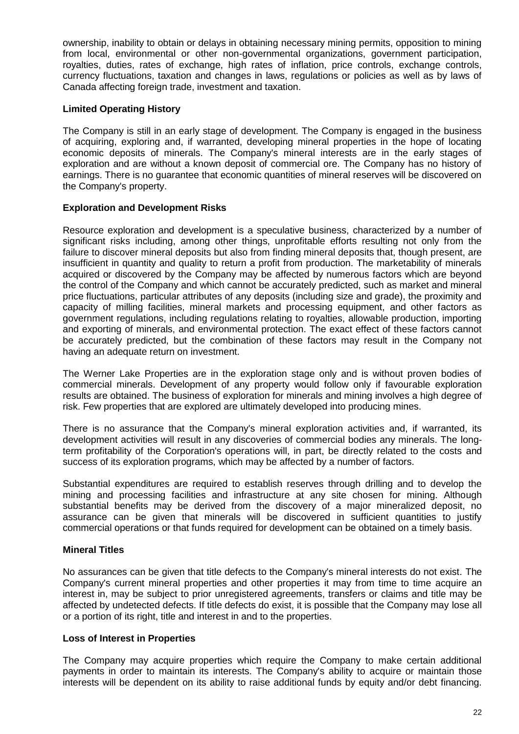ownership, inability to obtain or delays in obtaining necessary mining permits, opposition to mining from local, environmental or other non-governmental organizations, government participation, royalties, duties, rates of exchange, high rates of inflation, price controls, exchange controls, currency fluctuations, taxation and changes in laws, regulations or policies as well as by laws of Canada affecting foreign trade, investment and taxation.

# **Limited Operating History**

The Company is still in an early stage of development. The Company is engaged in the business of acquiring, exploring and, if warranted, developing mineral properties in the hope of locating economic deposits of minerals. The Company's mineral interests are in the early stages of exploration and are without a known deposit of commercial ore. The Company has no history of earnings. There is no guarantee that economic quantities of mineral reserves will be discovered on the Company's property.

# **Exploration and Development Risks**

Resource exploration and development is a speculative business, characterized by a number of significant risks including, among other things, unprofitable efforts resulting not only from the failure to discover mineral deposits but also from finding mineral deposits that, though present, are insufficient in quantity and quality to return a profit from production. The marketability of minerals acquired or discovered by the Company may be affected by numerous factors which are beyond the control of the Company and which cannot be accurately predicted, such as market and mineral price fluctuations, particular attributes of any deposits (including size and grade), the proximity and capacity of milling facilities, mineral markets and processing equipment, and other factors as government regulations, including regulations relating to royalties, allowable production, importing and exporting of minerals, and environmental protection. The exact effect of these factors cannot be accurately predicted, but the combination of these factors may result in the Company not having an adequate return on investment.

The Werner Lake Properties are in the exploration stage only and is without proven bodies of commercial minerals. Development of any property would follow only if favourable exploration results are obtained. The business of exploration for minerals and mining involves a high degree of risk. Few properties that are explored are ultimately developed into producing mines.

There is no assurance that the Company's mineral exploration activities and, if warranted, its development activities will result in any discoveries of commercial bodies any minerals. The longterm profitability of the Corporation's operations will, in part, be directly related to the costs and success of its exploration programs, which may be affected by a number of factors.

Substantial expenditures are required to establish reserves through drilling and to develop the mining and processing facilities and infrastructure at any site chosen for mining. Although substantial benefits may be derived from the discovery of a major mineralized deposit, no assurance can be given that minerals will be discovered in sufficient quantities to justify commercial operations or that funds required for development can be obtained on a timely basis.

# **Mineral Titles**

No assurances can be given that title defects to the Company's mineral interests do not exist. The Company's current mineral properties and other properties it may from time to time acquire an interest in, may be subject to prior unregistered agreements, transfers or claims and title may be affected by undetected defects. If title defects do exist, it is possible that the Company may lose all or a portion of its right, title and interest in and to the properties.

#### **Loss of Interest in Properties**

The Company may acquire properties which require the Company to make certain additional payments in order to maintain its interests. The Company's ability to acquire or maintain those interests will be dependent on its ability to raise additional funds by equity and/or debt financing.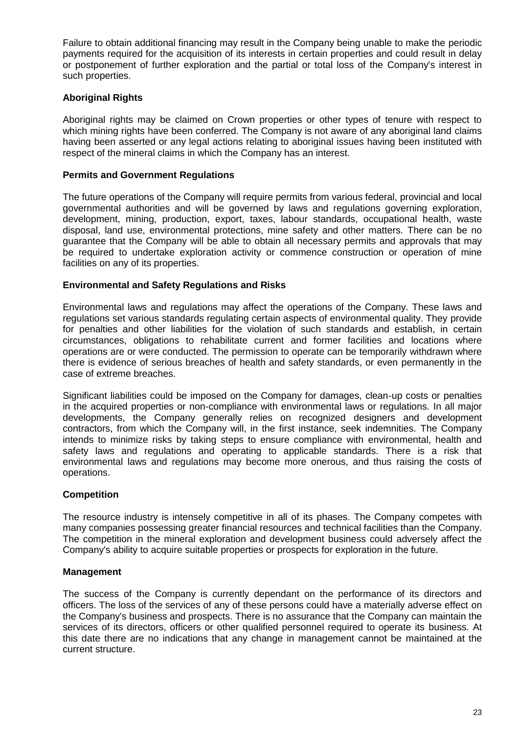Failure to obtain additional financing may result in the Company being unable to make the periodic payments required for the acquisition of its interests in certain properties and could result in delay or postponement of further exploration and the partial or total loss of the Company's interest in such properties.

# **Aboriginal Rights**

Aboriginal rights may be claimed on Crown properties or other types of tenure with respect to which mining rights have been conferred. The Company is not aware of any aboriginal land claims having been asserted or any legal actions relating to aboriginal issues having been instituted with respect of the mineral claims in which the Company has an interest.

#### **Permits and Government Regulations**

The future operations of the Company will require permits from various federal, provincial and local governmental authorities and will be governed by laws and regulations governing exploration, development, mining, production, export, taxes, labour standards, occupational health, waste disposal, land use, environmental protections, mine safety and other matters. There can be no guarantee that the Company will be able to obtain all necessary permits and approvals that may be required to undertake exploration activity or commence construction or operation of mine facilities on any of its properties.

#### **Environmental and Safety Regulations and Risks**

Environmental laws and regulations may affect the operations of the Company. These laws and regulations set various standards regulating certain aspects of environmental quality. They provide for penalties and other liabilities for the violation of such standards and establish, in certain circumstances, obligations to rehabilitate current and former facilities and locations where operations are or were conducted. The permission to operate can be temporarily withdrawn where there is evidence of serious breaches of health and safety standards, or even permanently in the case of extreme breaches.

Significant liabilities could be imposed on the Company for damages, clean-up costs or penalties in the acquired properties or non-compliance with environmental laws or regulations. In all major developments, the Company generally relies on recognized designers and development contractors, from which the Company will, in the first instance, seek indemnities. The Company intends to minimize risks by taking steps to ensure compliance with environmental, health and safety laws and regulations and operating to applicable standards. There is a risk that environmental laws and regulations may become more onerous, and thus raising the costs of operations.

#### **Competition**

The resource industry is intensely competitive in all of its phases. The Company competes with many companies possessing greater financial resources and technical facilities than the Company. The competition in the mineral exploration and development business could adversely affect the Company's ability to acquire suitable properties or prospects for exploration in the future.

#### **Management**

The success of the Company is currently dependant on the performance of its directors and officers. The loss of the services of any of these persons could have a materially adverse effect on the Company's business and prospects. There is no assurance that the Company can maintain the services of its directors, officers or other qualified personnel required to operate its business. At this date there are no indications that any change in management cannot be maintained at the current structure.